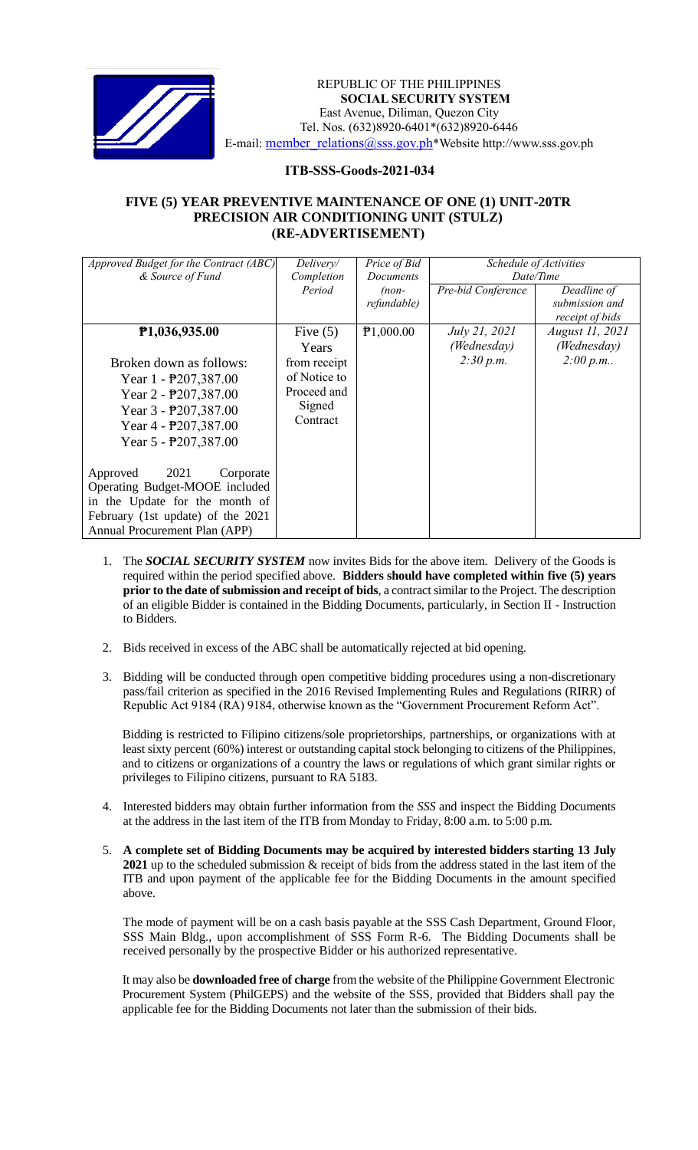

## *Invitation to Bid* REPUBLIC OF THE PHILIPPINES **SOCIAL SECURITY SYSTEM** East Avenue, Diliman, Quezon City Tel. Nos. (632)8920-6401\*(632)8920-6446 E-mail: [member\\_relations@sss.gov.ph](mailto:member_relations@sss.gov.ph)\*Website http://www.sss.gov.ph

## **ITB-SSS-Goods-2021-034**

## **FIVE (5) YEAR PREVENTIVE MAINTENANCE OF ONE (1) UNIT-20TR PRECISION AIR CONDITIONING UNIT (STULZ) (RE-ADVERTISEMENT)**

| Approved Budget for the Contract (ABC) | Delivery/    | Price of Bid     |                        |                 |
|----------------------------------------|--------------|------------------|------------------------|-----------------|
|                                        |              |                  | Schedule of Activities |                 |
| & Source of Fund                       | Completion   | <b>Documents</b> | Date/Time              |                 |
|                                        | Period       | $(non-$          | Pre-bid Conference     | Deadline of     |
|                                        |              | refundable)      |                        | submission and  |
|                                        |              |                  |                        | receipt of bids |
| P <sub>1</sub> ,036,935.00             | Five $(5)$   | P1,000.00        | <i>July 21, 2021</i>   | August 11, 2021 |
|                                        | Years        |                  | (Wednesday)            | (Wednesday)     |
| Broken down as follows:                | from receipt |                  | 2:30 p.m.              | 2:00 p.m.       |
| Year $1 - \frac{1}{207,387.00}$        | of Notice to |                  |                        |                 |
| Year $2 - P207,387.00$                 | Proceed and  |                  |                        |                 |
| Year $3 - P207,387.00$                 | Signed       |                  |                        |                 |
| Year $4 - P207,387.00$                 | Contract     |                  |                        |                 |
| Year $5 - P207,387.00$                 |              |                  |                        |                 |
|                                        |              |                  |                        |                 |
| 2021<br>Approved<br>Corporate          |              |                  |                        |                 |
| Operating Budget-MOOE included         |              |                  |                        |                 |
| in the Update for the month of         |              |                  |                        |                 |
| February (1st update) of the 2021      |              |                  |                        |                 |
| Annual Procurement Plan (APP)          |              |                  |                        |                 |

- 1. The *SOCIAL SECURITY SYSTEM* now invites Bids for the above item. Delivery of the Goods is required within the period specified above. **Bidders should have completed within five (5) years prior to the date of submission and receipt of bids**, a contract similar to the Project. The description of an eligible Bidder is contained in the Bidding Documents, particularly, in Section II - Instruction to Bidders.
- 2. Bids received in excess of the ABC shall be automatically rejected at bid opening.
- 3. Bidding will be conducted through open competitive bidding procedures using a non-discretionary pass/fail criterion as specified in the 2016 Revised Implementing Rules and Regulations (RIRR) of Republic Act 9184 (RA) 9184, otherwise known as the "Government Procurement Reform Act".

Bidding is restricted to Filipino citizens/sole proprietorships, partnerships, or organizations with at least sixty percent (60%) interest or outstanding capital stock belonging to citizens of the Philippines, and to citizens or organizations of a country the laws or regulations of which grant similar rights or privileges to Filipino citizens, pursuant to RA 5183.

- 4. Interested bidders may obtain further information from the *SSS* and inspect the Bidding Documents at the address in the last item of the ITB from Monday to Friday, 8:00 a.m. to 5:00 p.m.
- 5. **A complete set of Bidding Documents may be acquired by interested bidders starting 13 July 2021** up to the scheduled submission & receipt of bids from the address stated in the last item of the ITB and upon payment of the applicable fee for the Bidding Documents in the amount specified above.

The mode of payment will be on a cash basis payable at the SSS Cash Department, Ground Floor, SSS Main Bldg., upon accomplishment of SSS Form R-6. The Bidding Documents shall be received personally by the prospective Bidder or his authorized representative.

It may also be **downloaded free of charge** from the website of the Philippine Government Electronic Procurement System (PhilGEPS) and the website of the SSS*,* provided that Bidders shall pay the applicable fee for the Bidding Documents not later than the submission of their bids.